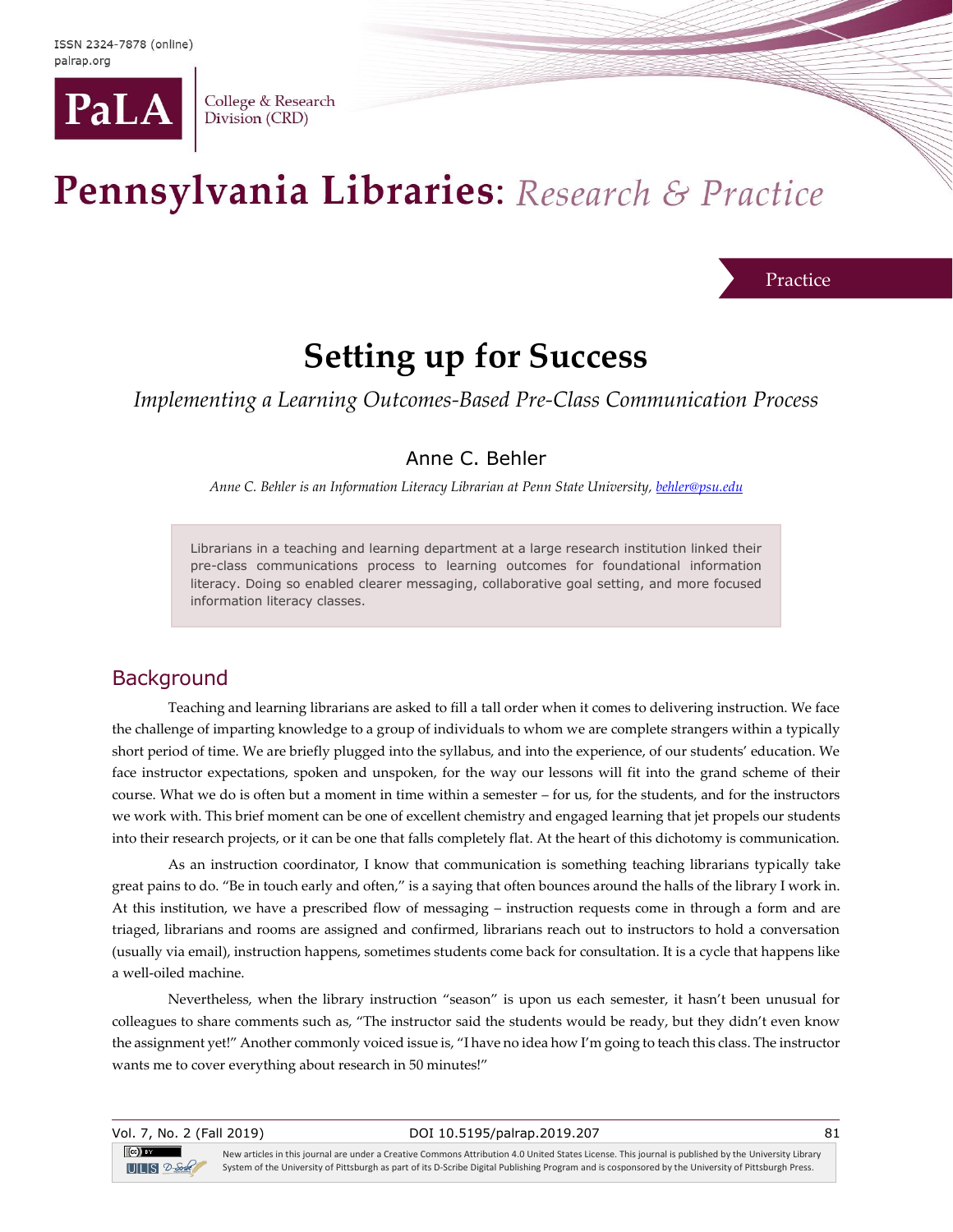

College & Research Division (CRD)

# Pennsylvania Libraries: Research & Practice

Practice

## **Setting up for Success**

*Implementing a Learning Outcomes-Based Pre-Class Communication Process*

#### Anne C. Behler

*Anne C. Behler is an Information Literacy Librarian at Penn State University[, behler@psu.edu](mailto:behler@psu.edu)*

Librarians in a teaching and learning department at a large research institution linked their pre-class communications process to learning outcomes for foundational information literacy. Doing so enabled clearer messaging, collaborative goal setting, and more focused information literacy classes.

#### **Background**

Teaching and learning librarians are asked to fill a tall order when it comes to delivering instruction. We face the challenge of imparting knowledge to a group of individuals to whom we are complete strangers within a typically short period of time. We are briefly plugged into the syllabus, and into the experience, of our students' education. We face instructor expectations, spoken and unspoken, for the way our lessons will fit into the grand scheme of their course. What we do is often but a moment in time within a semester – for us, for the students, and for the instructors we work with. This brief moment can be one of excellent chemistry and engaged learning that jet propels our students into their research projects, or it can be one that falls completely flat. At the heart of this dichotomy is communication.

As an instruction coordinator, I know that communication is something teaching librarians typically take great pains to do. "Be in touch early and often," is a saying that often bounces around the halls of the library I work in. At this institution, we have a prescribed flow of messaging – instruction requests come in through a form and are triaged, librarians and rooms are assigned and confirmed, librarians reach out to instructors to hold a conversation (usually via email), instruction happens, sometimes students come back for consultation. It is a cycle that happens like a well-oiled machine.

Nevertheless, when the library instruction "season" is upon us each semester, it hasn't been unusual for colleagues to share comments such as, "The instructor said the students would be ready, but they didn't even know the assignment yet!" Another commonly voiced issue is, "I have no idea how I'm going to teach this class. The instructor wants me to cover everything about research in 50 minutes!"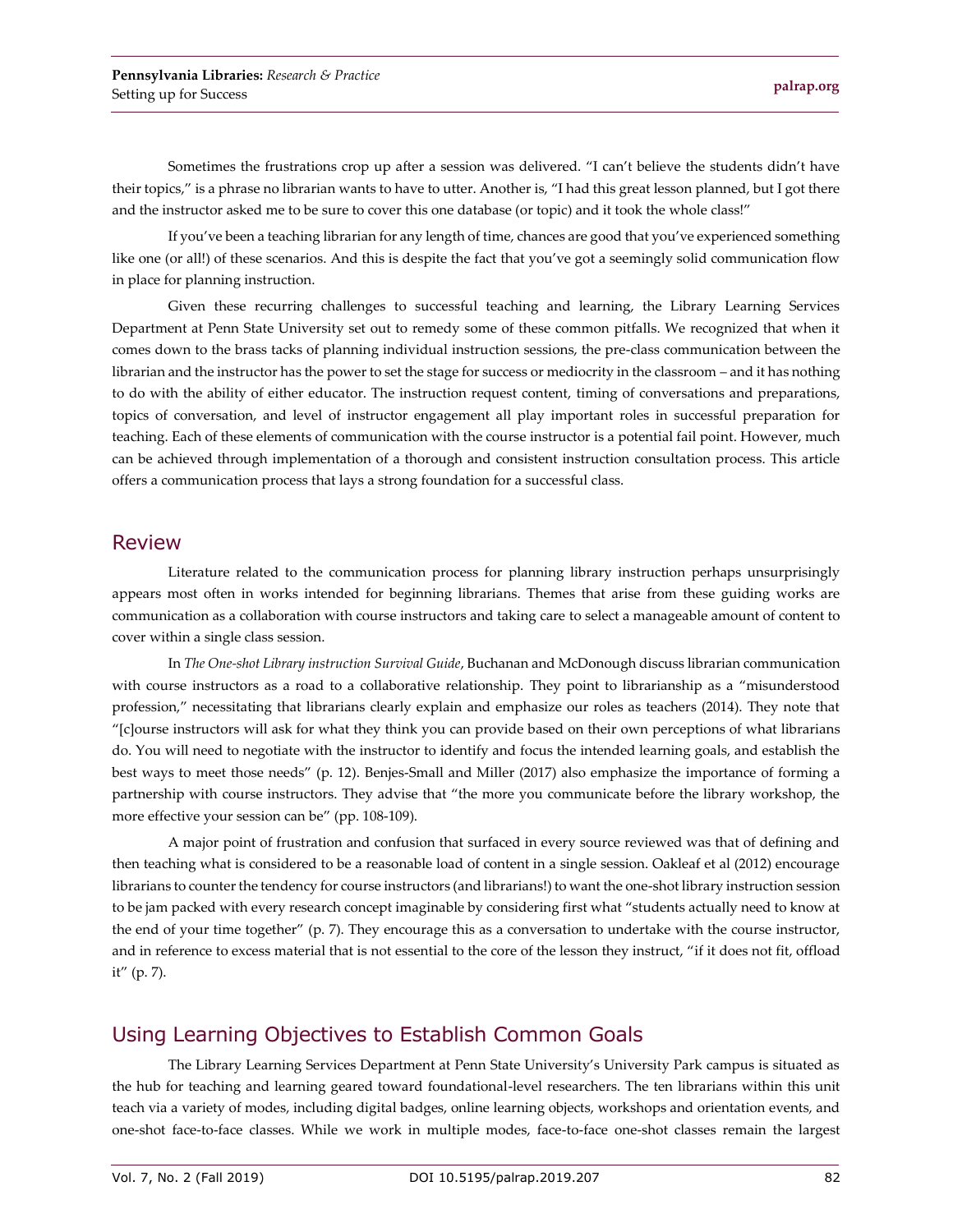Sometimes the frustrations crop up after a session was delivered. "I can't believe the students didn't have their topics," is a phrase no librarian wants to have to utter. Another is, "I had this great lesson planned, but I got there and the instructor asked me to be sure to cover this one database (or topic) and it took the whole class!"

If you've been a teaching librarian for any length of time, chances are good that you've experienced something like one (or all!) of these scenarios. And this is despite the fact that you've got a seemingly solid communication flow in place for planning instruction.

Given these recurring challenges to successful teaching and learning, the Library Learning Services Department at Penn State University set out to remedy some of these common pitfalls. We recognized that when it comes down to the brass tacks of planning individual instruction sessions, the pre-class communication between the librarian and the instructor has the power to set the stage for success or mediocrity in the classroom – and it has nothing to do with the ability of either educator. The instruction request content, timing of conversations and preparations, topics of conversation, and level of instructor engagement all play important roles in successful preparation for teaching. Each of these elements of communication with the course instructor is a potential fail point. However, much can be achieved through implementation of a thorough and consistent instruction consultation process. This article offers a communication process that lays a strong foundation for a successful class.

#### Review

Literature related to the communication process for planning library instruction perhaps unsurprisingly appears most often in works intended for beginning librarians. Themes that arise from these guiding works are communication as a collaboration with course instructors and taking care to select a manageable amount of content to cover within a single class session.

In *The One-shot Library instruction Survival Guide*, Buchanan and McDonough discuss librarian communication with course instructors as a road to a collaborative relationship. They point to librarianship as a "misunderstood profession," necessitating that librarians clearly explain and emphasize our roles as teachers (2014). They note that "[c]ourse instructors will ask for what they think you can provide based on their own perceptions of what librarians do. You will need to negotiate with the instructor to identify and focus the intended learning goals, and establish the best ways to meet those needs" (p. 12). Benjes-Small and Miller (2017) also emphasize the importance of forming a partnership with course instructors. They advise that "the more you communicate before the library workshop, the more effective your session can be" (pp. 108-109).

A major point of frustration and confusion that surfaced in every source reviewed was that of defining and then teaching what is considered to be a reasonable load of content in a single session. Oakleaf et al (2012) encourage librarians to counter the tendency for course instructors (and librarians!) to want the one-shot library instruction session to be jam packed with every research concept imaginable by considering first what "students actually need to know at the end of your time together" (p. 7). They encourage this as a conversation to undertake with the course instructor, and in reference to excess material that is not essential to the core of the lesson they instruct, "if it does not fit, offload it" (p. 7).

#### Using Learning Objectives to Establish Common Goals

The Library Learning Services Department at Penn State University's University Park campus is situated as the hub for teaching and learning geared toward foundational-level researchers. The ten librarians within this unit teach via a variety of modes, including digital badges, online learning objects, workshops and orientation events, and one-shot face-to-face classes. While we work in multiple modes, face-to-face one-shot classes remain the largest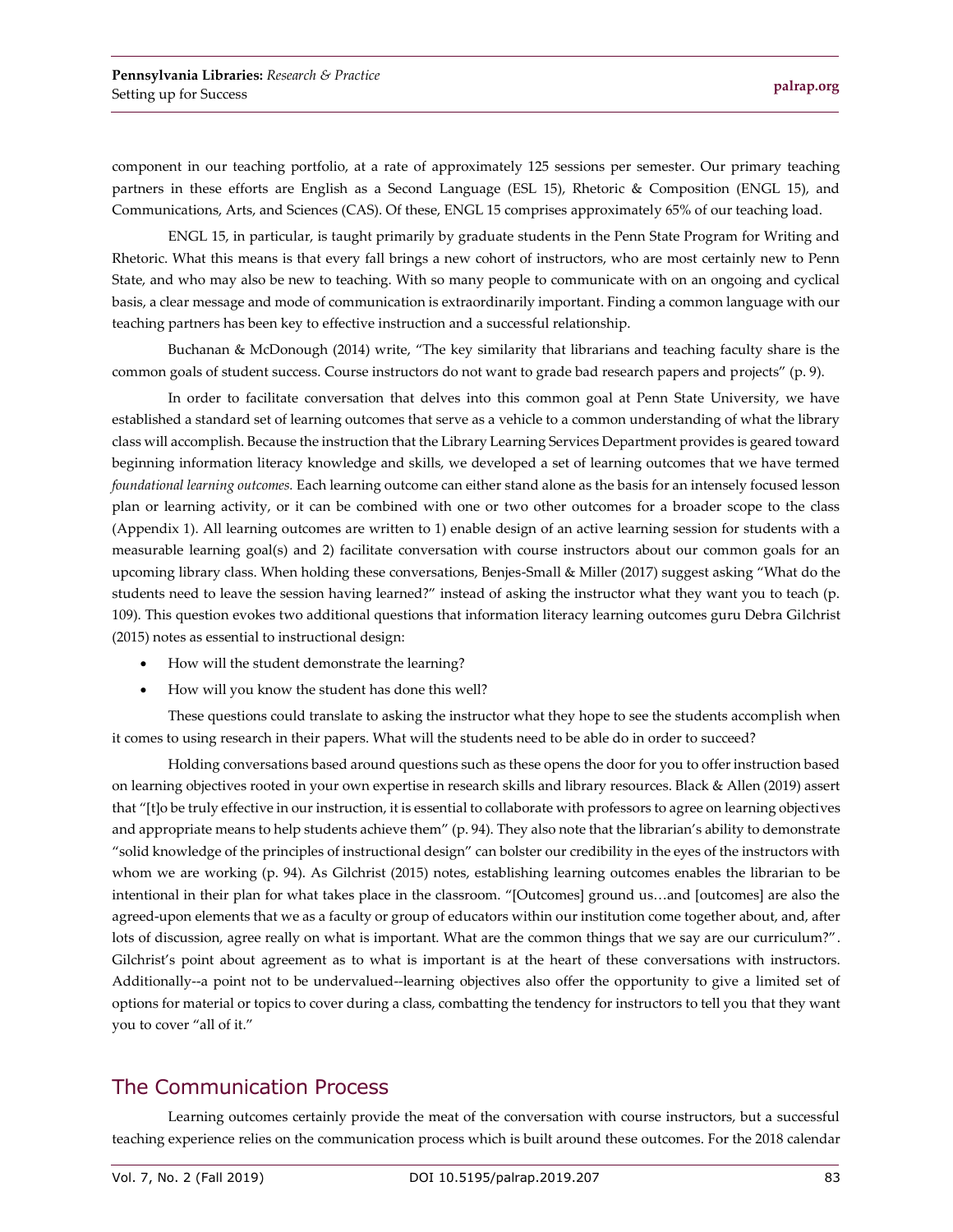component in our teaching portfolio, at a rate of approximately 125 sessions per semester. Our primary teaching partners in these efforts are English as a Second Language (ESL 15), Rhetoric & Composition (ENGL 15), and Communications, Arts, and Sciences (CAS). Of these, ENGL 15 comprises approximately 65% of our teaching load.

ENGL 15, in particular, is taught primarily by graduate students in the Penn State Program for Writing and Rhetoric. What this means is that every fall brings a new cohort of instructors, who are most certainly new to Penn State, and who may also be new to teaching. With so many people to communicate with on an ongoing and cyclical basis, a clear message and mode of communication is extraordinarily important. Finding a common language with our teaching partners has been key to effective instruction and a successful relationship.

Buchanan & McDonough (2014) write, "The key similarity that librarians and teaching faculty share is the common goals of student success. Course instructors do not want to grade bad research papers and projects" (p. 9).

In order to facilitate conversation that delves into this common goal at Penn State University, we have established a standard set of learning outcomes that serve as a vehicle to a common understanding of what the library class will accomplish. Because the instruction that the Library Learning Services Department provides is geared toward beginning information literacy knowledge and skills, we developed a set of learning outcomes that we have termed *foundational learning outcomes.* Each learning outcome can either stand alone as the basis for an intensely focused lesson plan or learning activity, or it can be combined with one or two other outcomes for a broader scope to the class (Appendix 1). All learning outcomes are written to 1) enable design of an active learning session for students with a measurable learning goal(s) and 2) facilitate conversation with course instructors about our common goals for an upcoming library class. When holding these conversations, Benjes-Small & Miller (2017) suggest asking "What do the students need to leave the session having learned?" instead of asking the instructor what they want you to teach (p. 109). This question evokes two additional questions that information literacy learning outcomes guru Debra Gilchrist (2015) notes as essential to instructional design:

- How will the student demonstrate the learning?
- How will you know the student has done this well?

These questions could translate to asking the instructor what they hope to see the students accomplish when it comes to using research in their papers. What will the students need to be able do in order to succeed?

Holding conversations based around questions such as these opens the door for you to offer instruction based on learning objectives rooted in your own expertise in research skills and library resources. Black & Allen (2019) assert that "[t]o be truly effective in our instruction, it is essential to collaborate with professors to agree on learning objectives and appropriate means to help students achieve them" (p. 94). They also note that the librarian's ability to demonstrate "solid knowledge of the principles of instructional design" can bolster our credibility in the eyes of the instructors with whom we are working (p. 94). As Gilchrist (2015) notes, establishing learning outcomes enables the librarian to be intentional in their plan for what takes place in the classroom. "[Outcomes] ground us…and [outcomes] are also the agreed-upon elements that we as a faculty or group of educators within our institution come together about, and, after lots of discussion, agree really on what is important. What are the common things that we say are our curriculum?". Gilchrist's point about agreement as to what is important is at the heart of these conversations with instructors. Additionally--a point not to be undervalued--learning objectives also offer the opportunity to give a limited set of options for material or topics to cover during a class, combatting the tendency for instructors to tell you that they want you to cover "all of it."

#### The Communication Process

Learning outcomes certainly provide the meat of the conversation with course instructors, but a successful teaching experience relies on the communication process which is built around these outcomes. For the 2018 calendar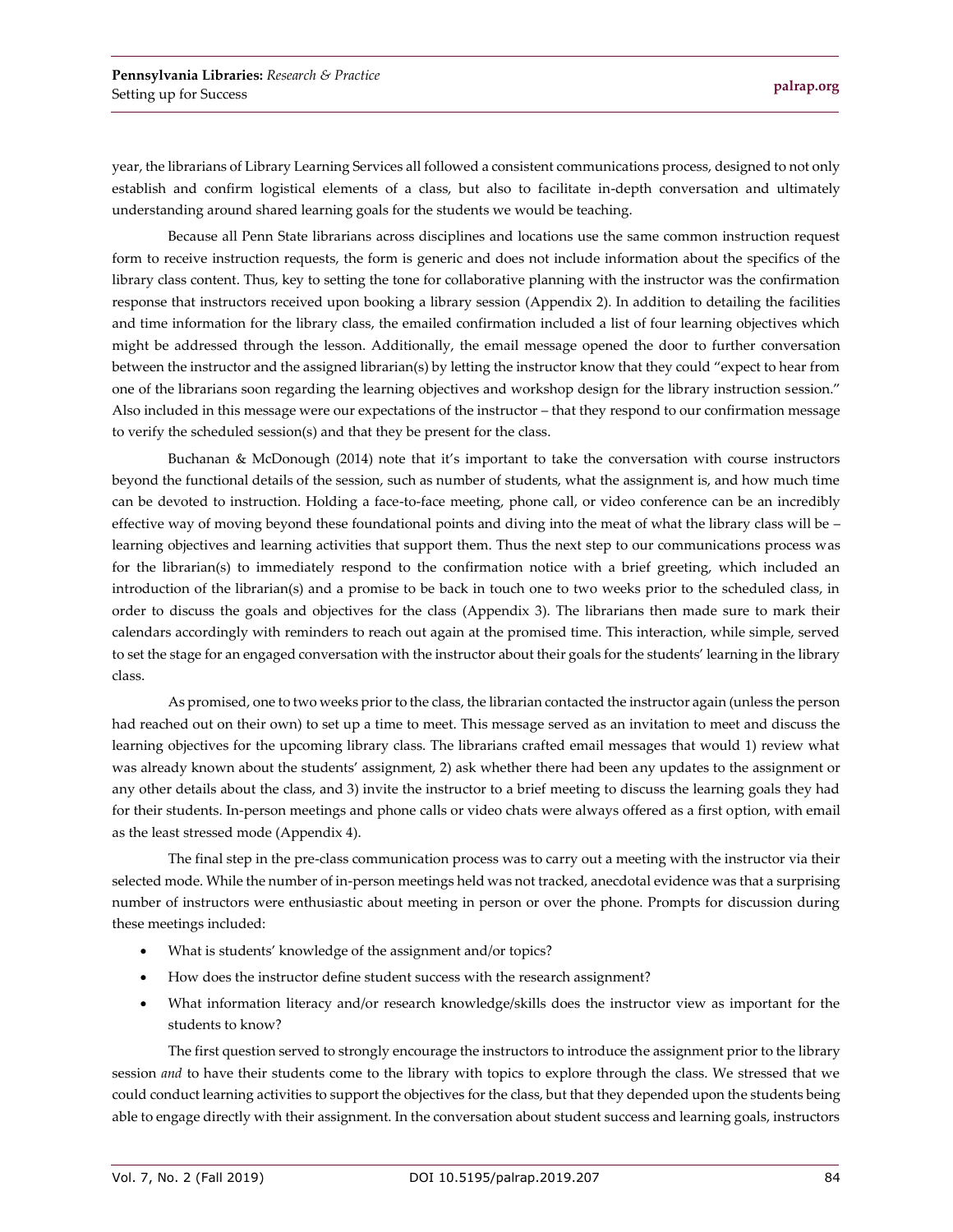year, the librarians of Library Learning Services all followed a consistent communications process, designed to not only establish and confirm logistical elements of a class, but also to facilitate in-depth conversation and ultimately understanding around shared learning goals for the students we would be teaching.

Because all Penn State librarians across disciplines and locations use the same common instruction request form to receive instruction requests, the form is generic and does not include information about the specifics of the library class content. Thus, key to setting the tone for collaborative planning with the instructor was the confirmation response that instructors received upon booking a library session (Appendix 2). In addition to detailing the facilities and time information for the library class, the emailed confirmation included a list of four learning objectives which might be addressed through the lesson. Additionally, the email message opened the door to further conversation between the instructor and the assigned librarian(s) by letting the instructor know that they could "expect to hear from one of the librarians soon regarding the learning objectives and workshop design for the library instruction session." Also included in this message were our expectations of the instructor – that they respond to our confirmation message to verify the scheduled session(s) and that they be present for the class.

Buchanan & McDonough (2014) note that it's important to take the conversation with course instructors beyond the functional details of the session, such as number of students, what the assignment is, and how much time can be devoted to instruction. Holding a face-to-face meeting, phone call, or video conference can be an incredibly effective way of moving beyond these foundational points and diving into the meat of what the library class will be – learning objectives and learning activities that support them. Thus the next step to our communications process was for the librarian(s) to immediately respond to the confirmation notice with a brief greeting, which included an introduction of the librarian(s) and a promise to be back in touch one to two weeks prior to the scheduled class, in order to discuss the goals and objectives for the class (Appendix 3). The librarians then made sure to mark their calendars accordingly with reminders to reach out again at the promised time. This interaction, while simple, served to set the stage for an engaged conversation with the instructor about their goals for the students' learning in the library class.

As promised, one to two weeks prior to the class, the librarian contacted the instructor again (unless the person had reached out on their own) to set up a time to meet. This message served as an invitation to meet and discuss the learning objectives for the upcoming library class. The librarians crafted email messages that would 1) review what was already known about the students' assignment, 2) ask whether there had been any updates to the assignment or any other details about the class, and 3) invite the instructor to a brief meeting to discuss the learning goals they had for their students. In-person meetings and phone calls or video chats were always offered as a first option, with email as the least stressed mode (Appendix 4).

The final step in the pre-class communication process was to carry out a meeting with the instructor via their selected mode. While the number of in-person meetings held was not tracked, anecdotal evidence was that a surprising number of instructors were enthusiastic about meeting in person or over the phone. Prompts for discussion during these meetings included:

- What is students' knowledge of the assignment and/or topics?
- How does the instructor define student success with the research assignment?
- What information literacy and/or research knowledge/skills does the instructor view as important for the students to know?

The first question served to strongly encourage the instructors to introduce the assignment prior to the library session *and* to have their students come to the library with topics to explore through the class. We stressed that we could conduct learning activities to support the objectives for the class, but that they depended upon the students being able to engage directly with their assignment. In the conversation about student success and learning goals, instructors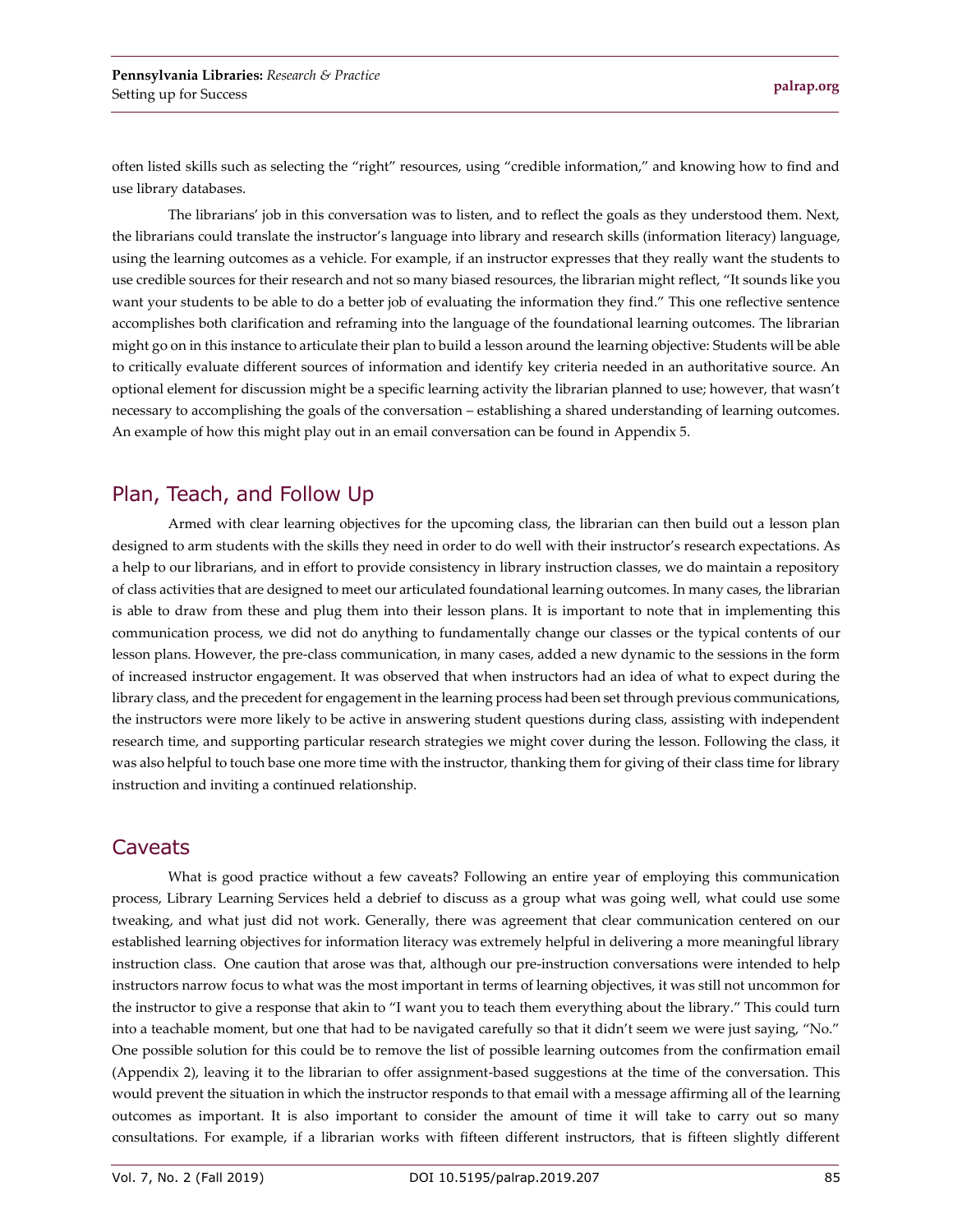often listed skills such as selecting the "right" resources, using "credible information," and knowing how to find and use library databases.

The librarians' job in this conversation was to listen, and to reflect the goals as they understood them. Next, the librarians could translate the instructor's language into library and research skills (information literacy) language, using the learning outcomes as a vehicle. For example, if an instructor expresses that they really want the students to use credible sources for their research and not so many biased resources, the librarian might reflect, "It sounds like you want your students to be able to do a better job of evaluating the information they find." This one reflective sentence accomplishes both clarification and reframing into the language of the foundational learning outcomes. The librarian might go on in this instance to articulate their plan to build a lesson around the learning objective: Students will be able to critically evaluate different sources of information and identify key criteria needed in an authoritative source. An optional element for discussion might be a specific learning activity the librarian planned to use; however, that wasn't necessary to accomplishing the goals of the conversation – establishing a shared understanding of learning outcomes. An example of how this might play out in an email conversation can be found in Appendix 5.

#### Plan, Teach, and Follow Up

Armed with clear learning objectives for the upcoming class, the librarian can then build out a lesson plan designed to arm students with the skills they need in order to do well with their instructor's research expectations. As a help to our librarians, and in effort to provide consistency in library instruction classes, we do maintain a repository of class activities that are designed to meet our articulated foundational learning outcomes. In many cases, the librarian is able to draw from these and plug them into their lesson plans. It is important to note that in implementing this communication process, we did not do anything to fundamentally change our classes or the typical contents of our lesson plans. However, the pre-class communication, in many cases, added a new dynamic to the sessions in the form of increased instructor engagement. It was observed that when instructors had an idea of what to expect during the library class, and the precedent for engagement in the learning process had been set through previous communications, the instructors were more likely to be active in answering student questions during class, assisting with independent research time, and supporting particular research strategies we might cover during the lesson. Following the class, it was also helpful to touch base one more time with the instructor, thanking them for giving of their class time for library instruction and inviting a continued relationship.

#### **Caveats**

What is good practice without a few caveats? Following an entire year of employing this communication process, Library Learning Services held a debrief to discuss as a group what was going well, what could use some tweaking, and what just did not work. Generally, there was agreement that clear communication centered on our established learning objectives for information literacy was extremely helpful in delivering a more meaningful library instruction class. One caution that arose was that, although our pre-instruction conversations were intended to help instructors narrow focus to what was the most important in terms of learning objectives, it was still not uncommon for the instructor to give a response that akin to "I want you to teach them everything about the library." This could turn into a teachable moment, but one that had to be navigated carefully so that it didn't seem we were just saying, "No." One possible solution for this could be to remove the list of possible learning outcomes from the confirmation email (Appendix 2), leaving it to the librarian to offer assignment-based suggestions at the time of the conversation. This would prevent the situation in which the instructor responds to that email with a message affirming all of the learning outcomes as important. It is also important to consider the amount of time it will take to carry out so many consultations. For example, if a librarian works with fifteen different instructors, that is fifteen slightly different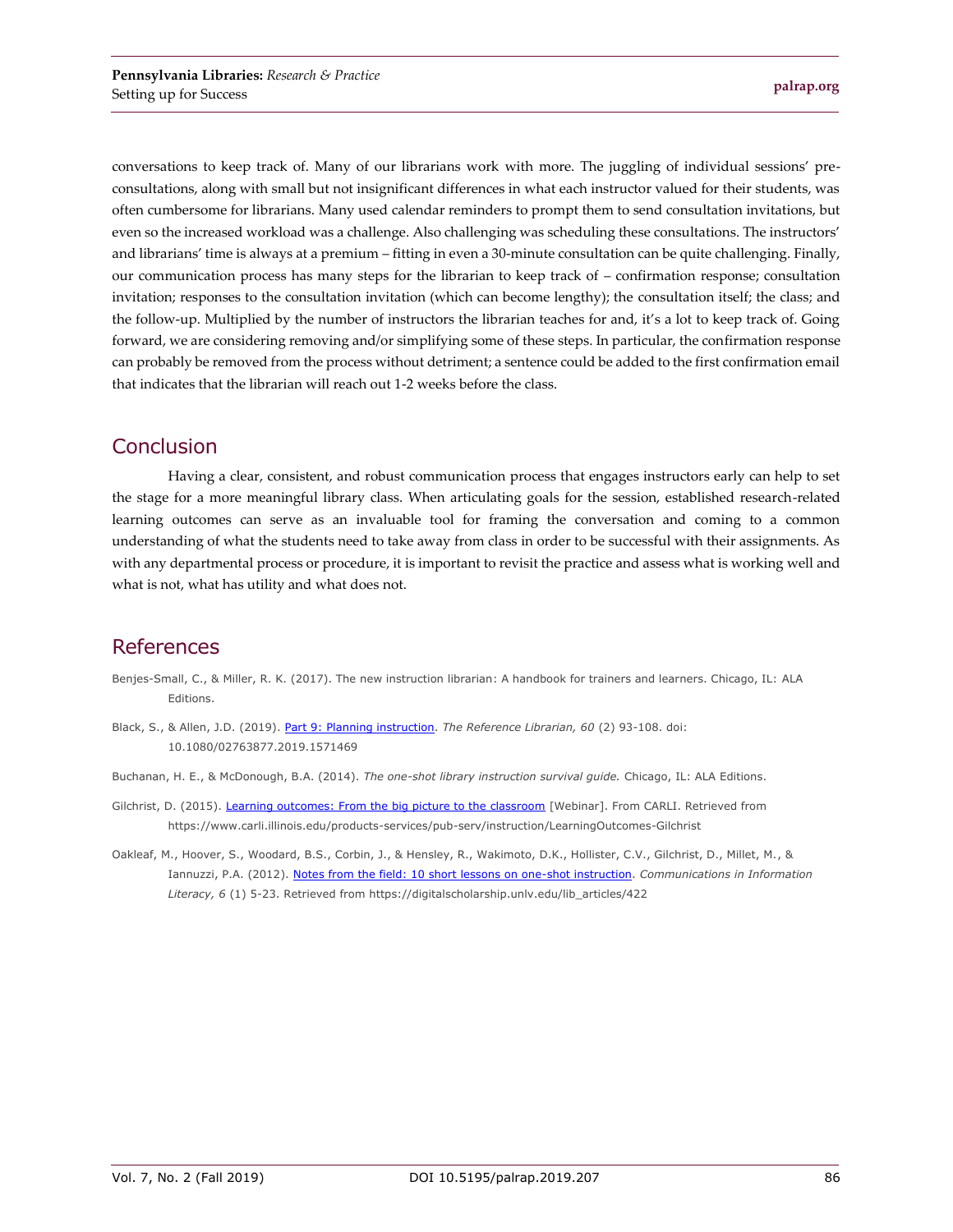conversations to keep track of. Many of our librarians work with more. The juggling of individual sessions' preconsultations, along with small but not insignificant differences in what each instructor valued for their students, was often cumbersome for librarians. Many used calendar reminders to prompt them to send consultation invitations, but even so the increased workload was a challenge. Also challenging was scheduling these consultations. The instructors' and librarians' time is always at a premium – fitting in even a 30-minute consultation can be quite challenging. Finally, our communication process has many steps for the librarian to keep track of – confirmation response; consultation invitation; responses to the consultation invitation (which can become lengthy); the consultation itself; the class; and the follow-up. Multiplied by the number of instructors the librarian teaches for and, it's a lot to keep track of. Going forward, we are considering removing and/or simplifying some of these steps. In particular, the confirmation response can probably be removed from the process without detriment; a sentence could be added to the first confirmation email that indicates that the librarian will reach out 1-2 weeks before the class.

#### Conclusion

Having a clear, consistent, and robust communication process that engages instructors early can help to set the stage for a more meaningful library class. When articulating goals for the session, established research-related learning outcomes can serve as an invaluable tool for framing the conversation and coming to a common understanding of what the students need to take away from class in order to be successful with their assignments. As with any departmental process or procedure, it is important to revisit the practice and assess what is working well and what is not, what has utility and what does not.

#### References

- Benjes-Small, C., & Miller, R. K. (2017). The new instruction librarian: A handbook for trainers and learners. Chicago, IL: ALA Editions.
- Black, S., & Allen, J.D. (2019). [Part 9: Planning instruction.](http://dx.doi.org/10.1080/02763877.2019.1571469) *The Reference Librarian, 60* (2) 93-108. doi: 10.1080/02763877.2019.1571469
- Buchanan, H. E., & McDonough, B.A. (2014). *The one-shot library instruction survival guide.* Chicago, IL: ALA Editions.
- Gilchrist, D. (2015). [Learning outcomes: From the big picture to the classroom](https://www.carli.illinois.edu/products-services/pub-serv/instruction/LearningOutcomes-Gilchrist) [Webinar]. From CARLI. Retrieved from https://www.carli.illinois.edu/products-services/pub-serv/instruction/LearningOutcomes-Gilchrist
- Oakleaf, M., Hoover, S., Woodard, B.S., Corbin, J., & Hensley, R., Wakimoto, D.K., Hollister, C.V., Gilchrist, D., Millet, M., & Iannuzzi, P.A. (2012). [Notes from the field: 10 short lessons on one-shot instruction.](https://digitalscholarship.unlv.edu/lib_articles/422) *Communications in Information Literacy, 6* (1) 5-23. Retrieved from https://digitalscholarship.unlv.edu/lib\_articles/422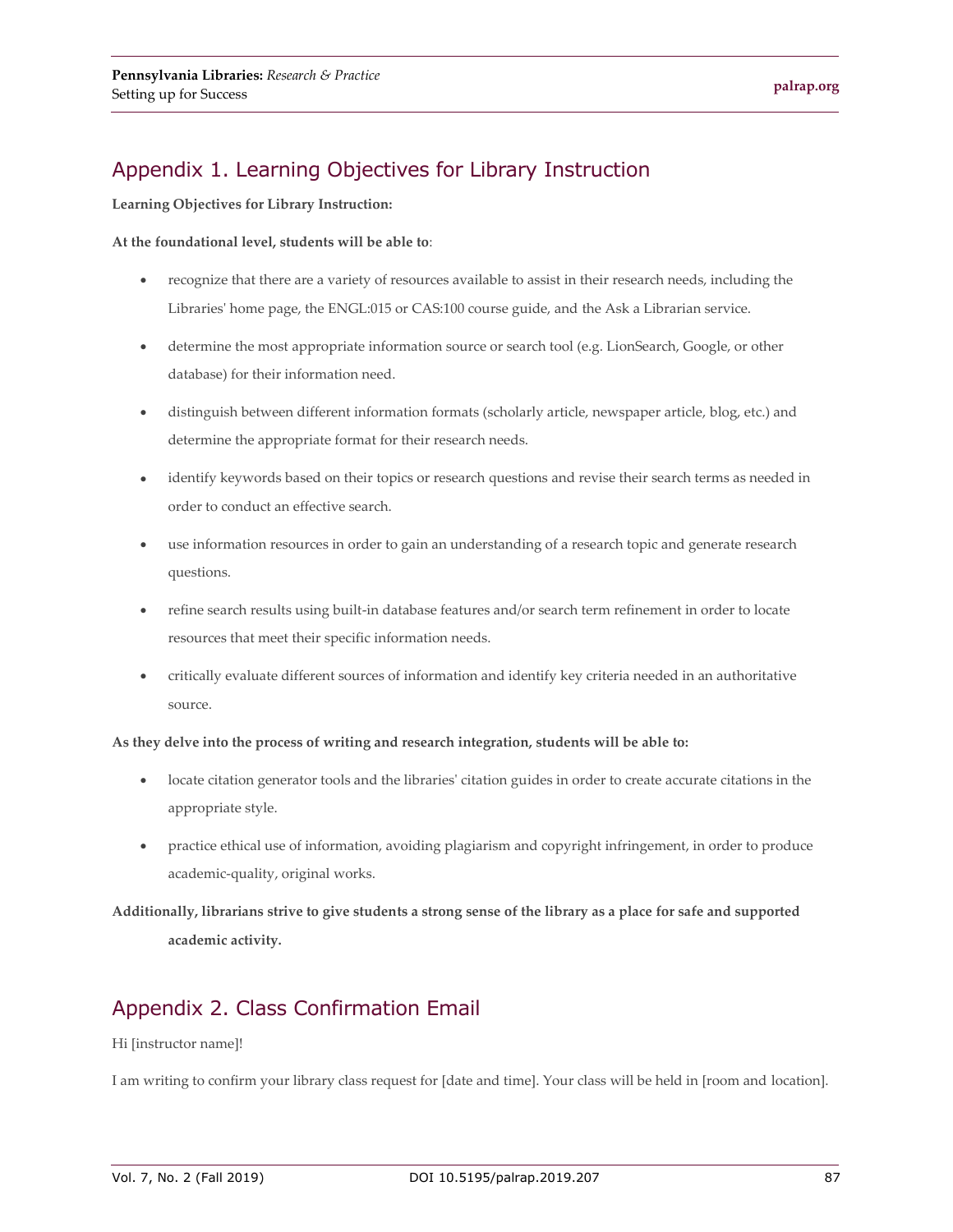## Appendix 1. Learning Objectives for Library Instruction

**Learning Objectives for Library Instruction:**

#### **At the foundational level, students will be able to**:

- recognize that there are a variety of resources available to assist in their research needs, including the Libraries' home page, the ENGL:015 or CAS:100 course guide, and the Ask a Librarian service.
- determine the most appropriate information source or search tool (e.g. LionSearch, Google, or other database) for their information need.
- distinguish between different information formats (scholarly article, newspaper article, blog, etc.) and determine the appropriate format for their research needs.
- identify keywords based on their topics or research questions and revise their search terms as needed in order to conduct an effective search.
- use information resources in order to gain an understanding of a research topic and generate research questions.
- refine search results using built-in database features and/or search term refinement in order to locate resources that meet their specific information needs.
- critically evaluate different sources of information and identify key criteria needed in an authoritative source.

**As they delve into the process of writing and research integration, students will be able to:**

- locate citation generator tools and the libraries' citation guides in order to create accurate citations in the appropriate style.
- practice ethical use of information, avoiding plagiarism and copyright infringement, in order to produce academic-quality, original works.

**Additionally, librarians strive to give students a strong sense of the library as a place for safe and supported academic activity.** 

## Appendix 2. Class Confirmation Email

#### Hi [instructor name]!

I am writing to confirm your library class request for [date and time]. Your class will be held in [room and location].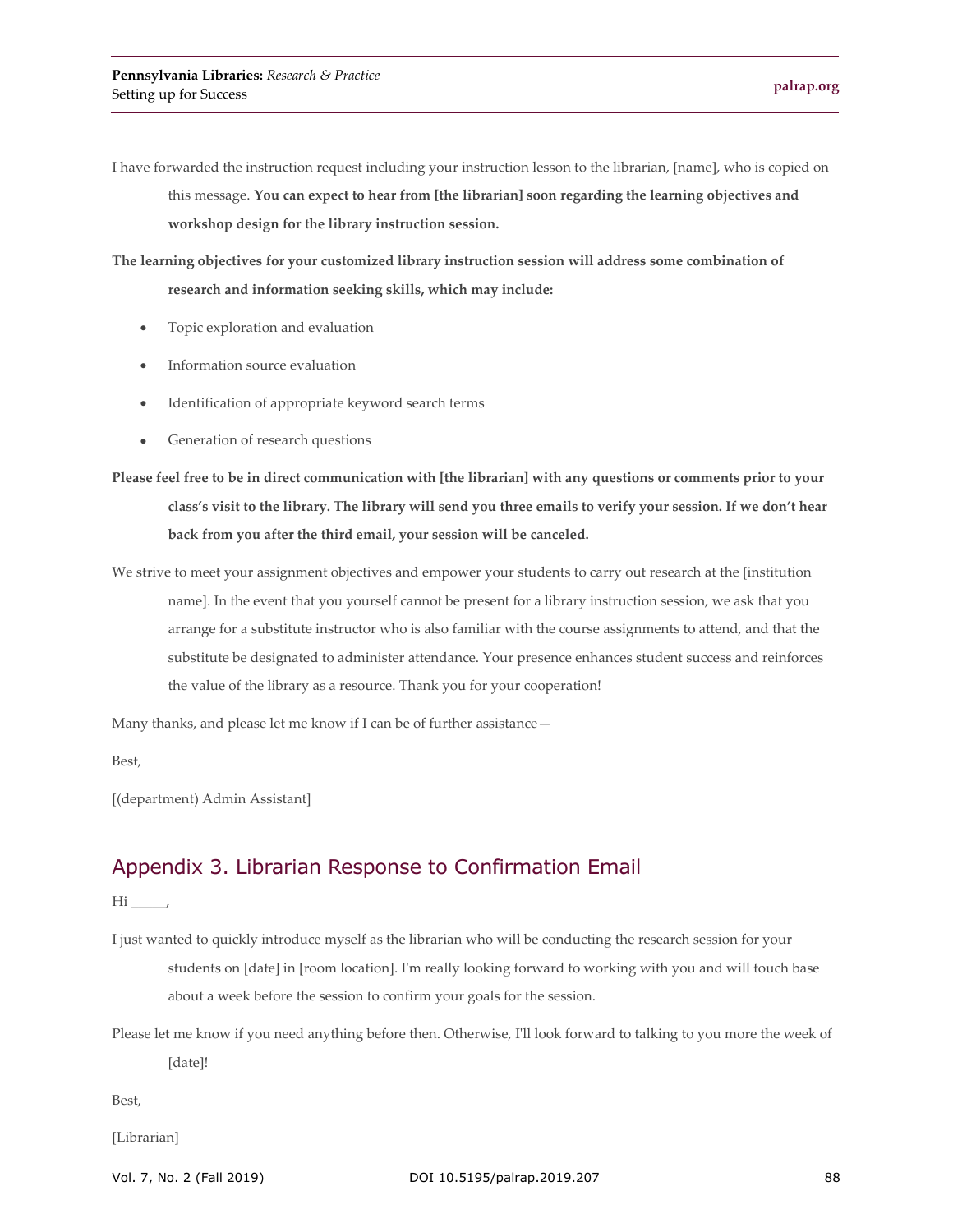I have forwarded the instruction request including your instruction lesson to the librarian, [name], who is copied on this message. **You can expect to hear from [the librarian] soon regarding the learning objectives and workshop design for the library instruction session.**

**The learning objectives for your customized library instruction session will address some combination of research and information seeking skills, which may include:** 

- Topic exploration and evaluation
- Information source evaluation
- Identification of appropriate keyword search terms
- Generation of research questions

**Please feel free to be in direct communication with [the librarian] with any questions or comments prior to your class's visit to the library. The library will send you three emails to verify your session. If we don't hear back from you after the third email, your session will be canceled.** 

We strive to meet your assignment objectives and empower your students to carry out research at the [institution name]. In the event that you yourself cannot be present for a library instruction session, we ask that you arrange for a substitute instructor who is also familiar with the course assignments to attend, and that the substitute be designated to administer attendance. Your presence enhances student success and reinforces the value of the library as a resource. Thank you for your cooperation!

Many thanks, and please let me know if I can be of further assistance—

Best,

[(department) Admin Assistant]

#### Appendix 3. Librarian Response to Confirmation Email

 $Hi$ ,

- I just wanted to quickly introduce myself as the librarian who will be conducting the research session for your students on [date] in [room location]. I'm really looking forward to working with you and will touch base about a week before the session to confirm your goals for the session.
- Please let me know if you need anything before then. Otherwise, I'll look forward to talking to you more the week of [date]!

Best,

[Librarian]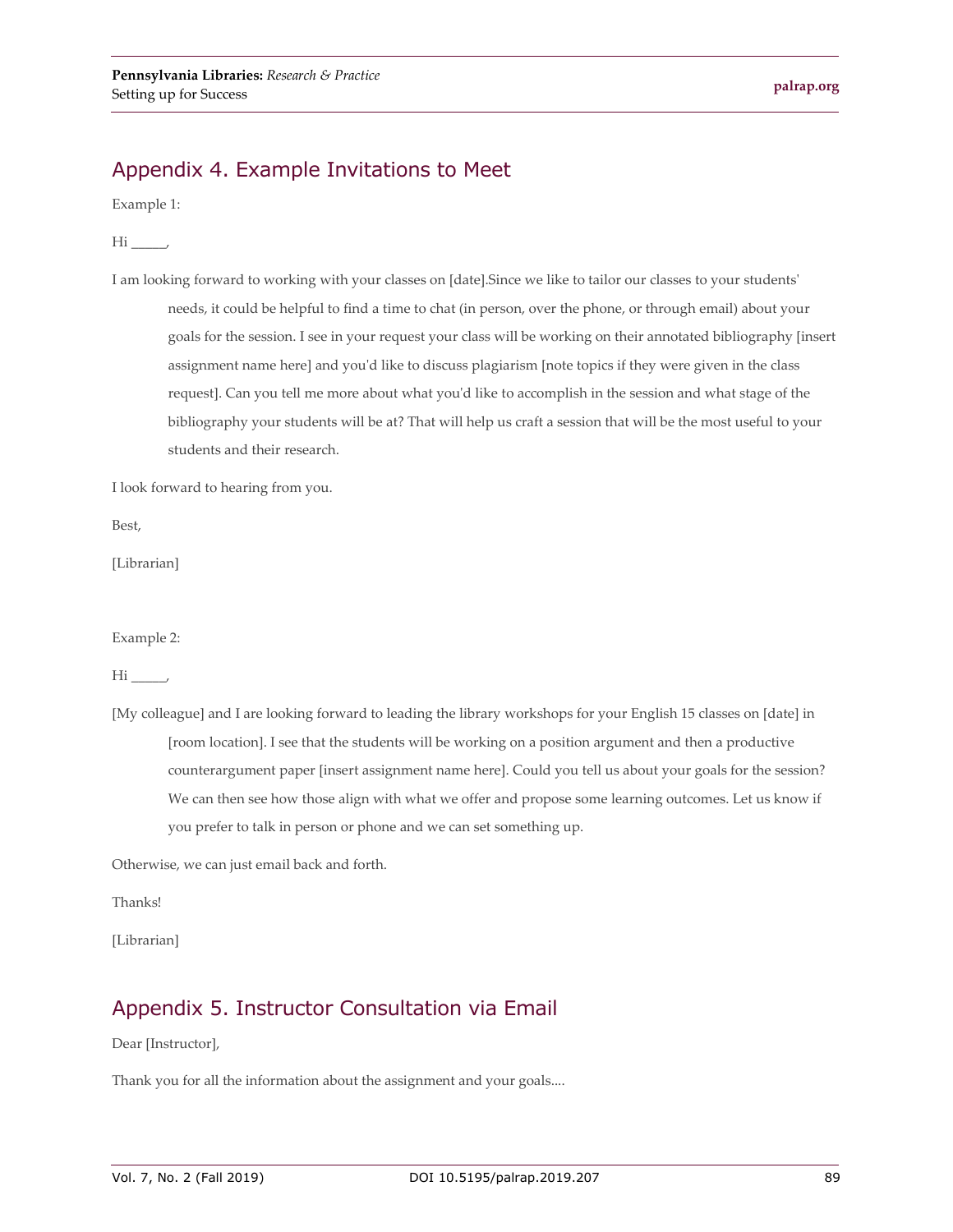## Appendix 4. Example Invitations to Meet

Example 1:

Hi \_\_\_\_\_,

I am looking forward to working with your classes on [date].Since we like to tailor our classes to your students' needs, it could be helpful to find a time to chat (in person, over the phone, or through email) about your goals for the session. I see in your request your class will be working on their annotated bibliography [insert assignment name here] and you'd like to discuss plagiarism [note topics if they were given in the class request]. Can you tell me more about what you'd like to accomplish in the session and what stage of the bibliography your students will be at? That will help us craft a session that will be the most useful to your students and their research.

I look forward to hearing from you.

Best,

[Librarian]

Example 2:

 $\overline{\text{Hi}}$ ,

[My colleague] and I are looking forward to leading the library workshops for your English 15 classes on [date] in [room location]. I see that the students will be working on a position argument and then a productive counterargument paper [insert assignment name here]. Could you tell us about your goals for the session? We can then see how those align with what we offer and propose some learning outcomes. Let us know if you prefer to talk in person or phone and we can set something up.

Otherwise, we can just email back and forth.

Thanks!

[Librarian]

#### Appendix 5. Instructor Consultation via Email

Dear [Instructor],

Thank you for all the information about the assignment and your goals....